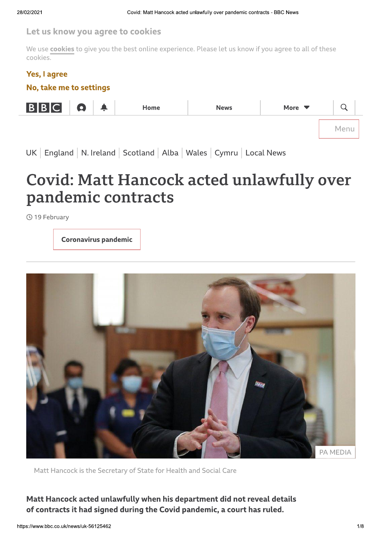#### Let us know you agree to cookies

We use cookies to give you the best online experience. Please let us know if you agree to all of these cookies.

#### **Yes, I agree**

No, take me to settings



UK | England | N. Ireland | Scotland | Alba | Wales | Cymru | Local News

# Covid: Matt Hancock acted unlawfully over pandemic contracts

**① 19 February** 

**Coronavirus pandemic** 



Matt Hancock is the Secretary of State for Health and Social Care

Matt Hancock acted unlawfully when his department did not reveal details of contracts it had signed during the Covid pandemic, a court has ruled.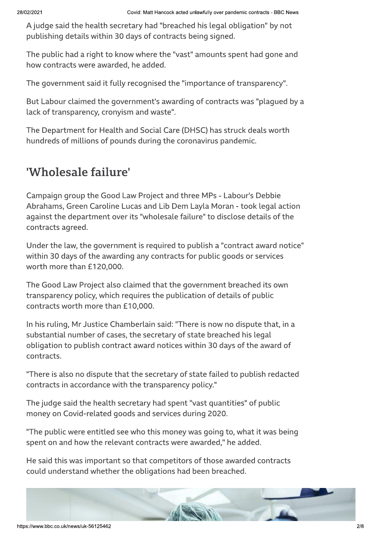A judge said the health secretary had "breached his legal obligation" by not publishing details within 30 days of contracts being signed.

The public had a right to know where the "vast" amounts spent had gone and how contracts were awarded, he added.

The government said it fully recognised the "importance of transparency".

But Labour claimed the government's awarding of contracts was "plagued by a lack of transparency, cronyism and waste".

The Department for Health and Social Care (DHSC) has struck deals worth hundreds of millions of pounds during the coronavirus pandemic.

## 'Wholesale failure'

Campaign group the Good Law Project and three MPs - Labour's Debbie Abrahams, Green Caroline Lucas and Lib Dem Layla Moran - took legal action against the department over its "wholesale failure" to disclose details of the contracts agreed.

Under the law, the government is required to publish a "contract award notice" within 30 days of the awarding any contracts for public goods or services worth more than £120,000.

The Good Law Project also claimed that the government breached its own transparency policy, which requires the publication of details of public contracts worth more than £10,000.

In his ruling, Mr Justice Chamberlain said: "There is now no dispute that, in a substantial number of cases, the secretary of state breached his legal obligation to publish contract award notices within 30 days of the award of contracts.

"There is also no dispute that the secretary of state failed to publish redacted contracts in accordance with the transparency policy."

The judge said the health secretary had spent "vast quantities" of public money on Covid-related goods and services during 2020.

"The public were entitled see who this money was going to, what it was being spent on and how the relevant contracts were awarded," he added.

He said this was important so that competitors of those awarded contracts could understand whether the obligations had been breached.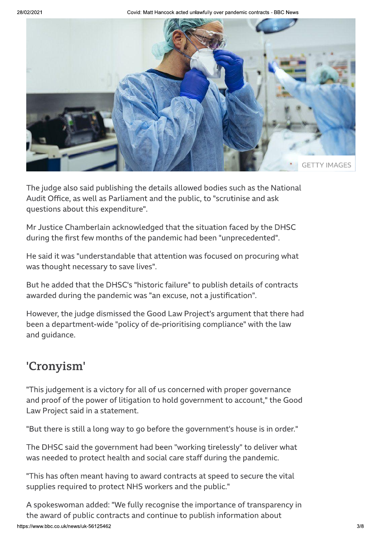2021 **1988** Covid: Matt Hancock acted unlawfully over pandemic contracts - BBC News



But he added that the DHSC's "historic failure" to publish details of contracts awarded during the pandemic was "an excuse, not a justification".

However, the judge dismissed the Good Law Project's argument that there had been a department-wide "policy of de-prioritising compliance" with the law and guidance.

been a department-wide "policy of de-prioritising compliance" with the law<br>then a department-wide "policy of de-prioritising compliance" with the law<br>and guidance.<br>**Cronyism'**<br>"This judgement is a victory for all of us con

--!""!!--#\$#%\$ &-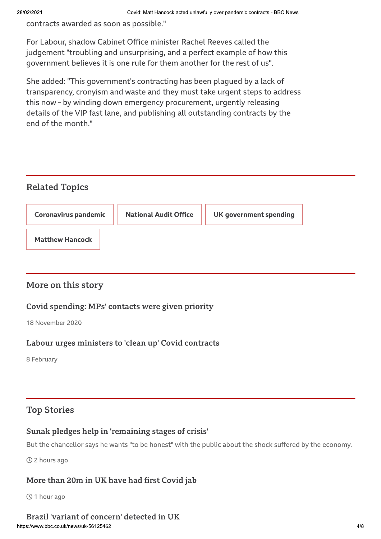contracts awarded as soon as possible."

For Labour, shadow Cabinet Office minister Rachel Reeves called the judgement "troubling and unsurprising, and a perfect example of how this government believes it is one rule for them another for the rest of us".

She added: "This government's contracting has been plagued by a lack of transparency, cronyism and waste and they must take urgent steps to address this now - by winding down emergency procurement, urgently releasing details of the VIP fast lane, and publishing all outstanding contracts by the end of the month."

#### **Related Topics**



#### More on this story

Covid spending: MPs' contacts were given priority

18 November 2020

#### Labour urges ministers to 'clean up' Covid contracts

8 February

#### **Top Stories**

#### Sunak pledges help in 'remaining stages of crisis'

But the chancellor says he wants "to be honest" with the public about the shock suffered by the economy.

**① 2 hours ago** 

#### More than 20m in UK have had first Covid jab

**① 1 hour ago** 

Brazil 'variant of concern' detected in UK https://www.bbc.co.uk/news/uk-56125462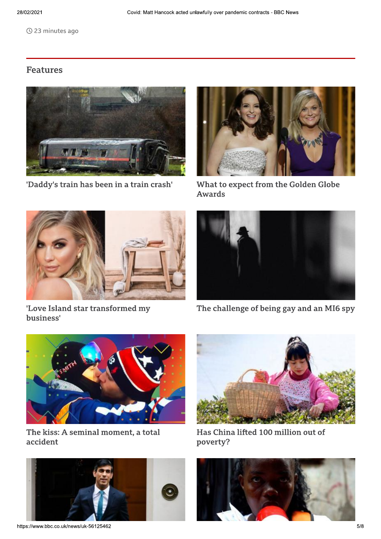⊙ 23 minutes ago

#### **Features**



'Daddy's train has been in a train crash'



What to expect from the Golden Globe **Awards** 



'Love Island star transformed my business'



The challenge of being gay and an MI6 spy



The kiss: A seminal moment, a total accident



https://www.bbc.co.uk/news/uk-56125462



Has China lifted 100 million out of poverty?

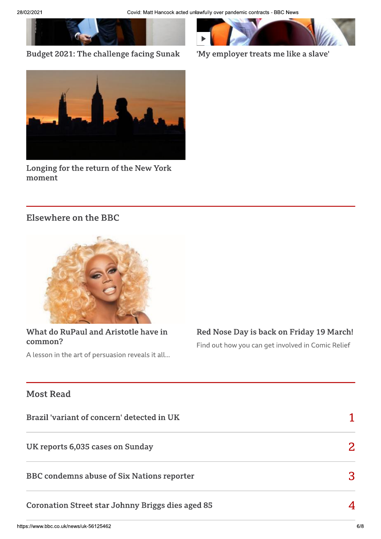

Budget 2021: The challenge facing Sunak



```
'My employer treats me like a slave'
```


Longing for the return of the New York moment

### **Elsewhere on the BBC**



What do RuPaul and Aristotle have in common?

A lesson in the art of persuasion reveals it all...

Red Nose Day is back on Friday 19 March!

Find out how you can get involved in Comic Relief

| <b>Most Read</b>                                  |   |
|---------------------------------------------------|---|
| Brazil 'variant of concern' detected in UK        |   |
| UK reports 6,035 cases on Sunday                  |   |
| <b>BBC condemns abuse of Six Nations reporter</b> | 3 |
| Coronation Street star Johnny Briggs dies aged 85 |   |
| https://www.bbc.co.uk/news/uk-56125462            |   |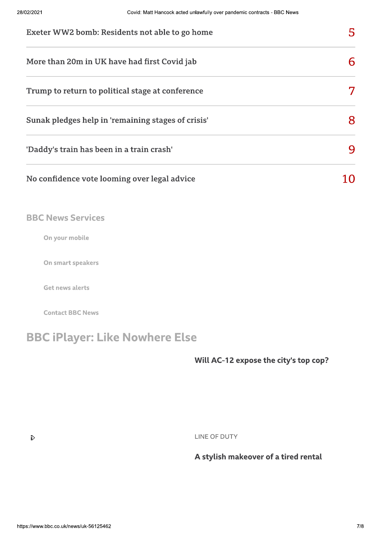| Exeter WW2 bomb: Residents not able to go home     | 5 |
|----------------------------------------------------|---|
| More than 20m in UK have had first Covid jab       | 6 |
| Trump to return to political stage at conference   | 7 |
| Sunak pledges help in 'remaining stages of crisis' | 8 |
| 'Daddy's train has been in a train crash'          | 9 |
| No confidence vote looming over legal advice       |   |

**BBC News Services** 

On your mobile

On smart speakers

Get news alerts

**Contact BBC News** 

## **BBC iPlayer: Like Nowhere Else**

#### Will AC-12 expose the city's top cop?

 $\triangleright$ 

LINE OF DUTY

#### A stylish makeover of a tired rental